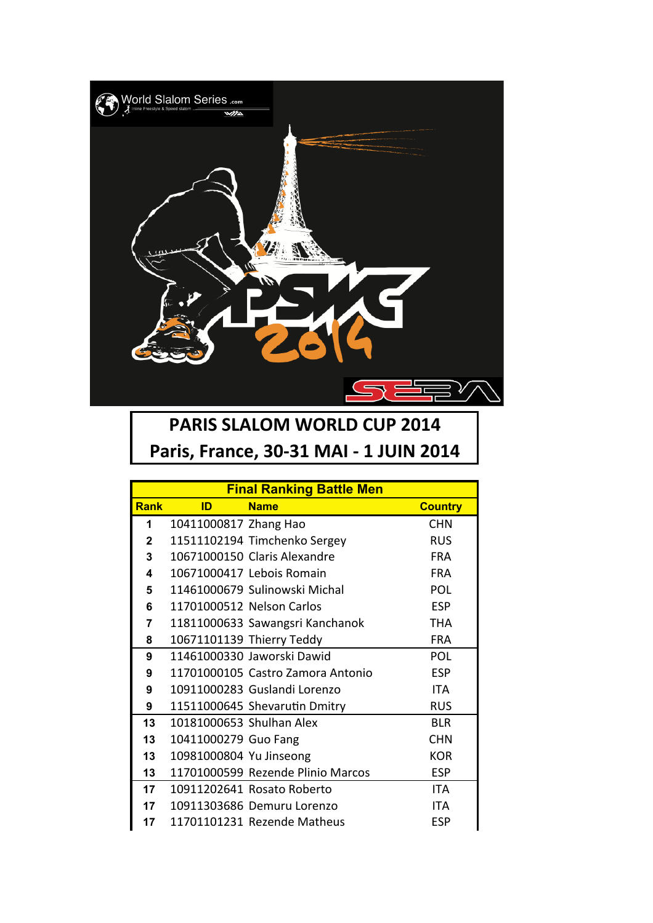

## **PARIS SLALOM WORLD CUP 2014** Paris, France, 30-31 MAI - 1 JUIN 2014

| <b>Final Ranking Battle Men</b> |                          |                                   |                |  |
|---------------------------------|--------------------------|-----------------------------------|----------------|--|
| <b>Rank</b>                     | ID                       | <b>Name</b>                       | <b>Country</b> |  |
| 1                               | 10411000817 Zhang Hao    |                                   | <b>CHN</b>     |  |
| $\mathbf{2}$                    |                          | 11511102194 Timchenko Sergey      | <b>RUS</b>     |  |
| 3                               |                          | 10671000150 Claris Alexandre      | <b>FRA</b>     |  |
| 4                               |                          | 10671000417 Lebois Romain         | <b>FRA</b>     |  |
| 5                               |                          | 11461000679 Sulinowski Michal     | POL            |  |
| 6                               |                          | 11701000512 Nelson Carlos         | <b>ESP</b>     |  |
| 7                               |                          | 11811000633 Sawangsri Kanchanok   | <b>THA</b>     |  |
| 8                               |                          | 10671101139 Thierry Teddy         | <b>FRA</b>     |  |
| 9                               |                          | 11461000330 Jaworski Dawid        | POL            |  |
| 9                               |                          | 11701000105 Castro Zamora Antonio | <b>ESP</b>     |  |
| 9                               |                          | 10911000283 Guslandi Lorenzo      | <b>ITA</b>     |  |
| 9                               |                          | 11511000645 Shevarutin Dmitry     | <b>RUS</b>     |  |
| 13                              | 10181000653 Shulhan Alex |                                   | <b>BLR</b>     |  |
| 13                              | 10411000279 Guo Fang     |                                   | <b>CHN</b>     |  |
| 13                              | 10981000804 Yu Jinseong  |                                   | <b>KOR</b>     |  |
| 13                              |                          | 11701000599 Rezende Plinio Marcos | <b>ESP</b>     |  |
| 17                              |                          | 10911202641 Rosato Roberto        | <b>ITA</b>     |  |
| 17                              |                          | 10911303686 Demuru Lorenzo        | <b>ITA</b>     |  |
| 17                              |                          | 11701101231 Rezende Matheus       | ESP            |  |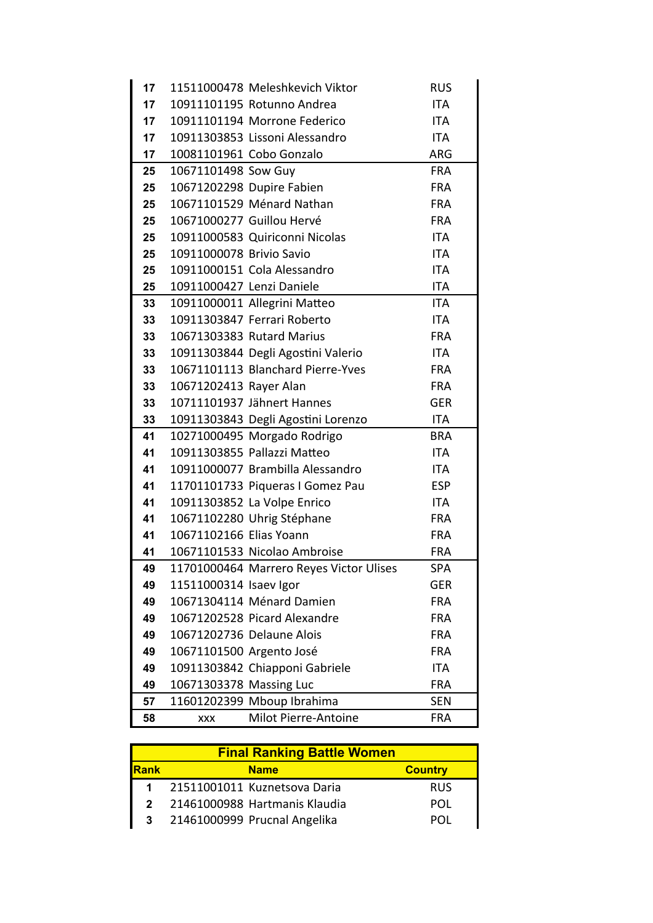| 17 |                           | 11511000478 Meleshkevich Viktor         | <b>RUS</b> |
|----|---------------------------|-----------------------------------------|------------|
| 17 |                           | 10911101195 Rotunno Andrea              | ITA        |
| 17 |                           | 10911101194 Morrone Federico            | <b>ITA</b> |
| 17 |                           | 10911303853 Lissoni Alessandro          | ITA        |
| 17 |                           | 10081101961 Cobo Gonzalo                | <b>ARG</b> |
| 25 | 10671101498 Sow Guy       |                                         | <b>FRA</b> |
| 25 |                           | 10671202298 Dupire Fabien               | <b>FRA</b> |
| 25 |                           | 10671101529 Ménard Nathan               | <b>FRA</b> |
| 25 |                           | 10671000277 Guillou Hervé               | <b>FRA</b> |
| 25 |                           | 10911000583 Quiriconni Nicolas          | <b>ITA</b> |
| 25 | 10911000078 Brivio Savio  |                                         | ITA        |
| 25 |                           | 10911000151 Cola Alessandro             | ITA        |
| 25 | 10911000427 Lenzi Daniele |                                         | <b>ITA</b> |
| 33 |                           | 10911000011 Allegrini Matteo            | <b>ITA</b> |
| 33 |                           | 10911303847 Ferrari Roberto             | <b>ITA</b> |
| 33 |                           | 10671303383 Rutard Marius               | <b>FRA</b> |
| 33 |                           | 10911303844 Degli Agostini Valerio      | <b>ITA</b> |
| 33 |                           | 10671101113 Blanchard Pierre-Yves       | <b>FRA</b> |
| 33 | 10671202413 Rayer Alan    |                                         | <b>FRA</b> |
| 33 |                           | 10711101937 Jähnert Hannes              | <b>GER</b> |
| 33 |                           | 10911303843 Degli Agostini Lorenzo      | ITA        |
| 41 |                           | 10271000495 Morgado Rodrigo             | <b>BRA</b> |
| 41 |                           | 10911303855 Pallazzi Matteo             | ITA        |
| 41 |                           | 10911000077 Brambilla Alessandro        | ITA        |
| 41 |                           | 11701101733 Piqueras I Gomez Pau        | <b>ESP</b> |
| 41 |                           | 10911303852 La Volpe Enrico             | <b>ITA</b> |
| 41 |                           | 10671102280 Uhrig Stéphane              | <b>FRA</b> |
| 41 | 10671102166 Elias Yoann   |                                         | <b>FRA</b> |
| 41 |                           | 10671101533 Nicolao Ambroise            | <b>FRA</b> |
| 49 |                           | 11701000464 Marrero Reyes Victor Ulises | <b>SPA</b> |
| 49 | 11511000314 Isaev Igor    |                                         | <b>GER</b> |
| 49 |                           | 10671304114 Ménard Damien               | <b>FRA</b> |
| 49 |                           | 10671202528 Picard Alexandre            | <b>FRA</b> |
| 49 |                           | 10671202736 Delaune Alois               | <b>FRA</b> |
| 49 | 10671101500 Argento José  |                                         | <b>FRA</b> |
| 49 |                           | 10911303842 Chiapponi Gabriele          | ITA        |
| 49 | 10671303378 Massing Luc   |                                         | <b>FRA</b> |
| 57 |                           | 11601202399 Mboup Ibrahima              | SEN        |
| 58 | <b>XXX</b>                | Milot Pierre-Antoine                    | <b>FRA</b> |

| <b>Final Ranking Battle Women</b> |  |                               |                |  |  |
|-----------------------------------|--|-------------------------------|----------------|--|--|
| <b>Rank</b>                       |  | <b>Name</b>                   | <b>Country</b> |  |  |
|                                   |  | 21511001011 Kuznetsova Daria  | <b>RUS</b>     |  |  |
|                                   |  | 21461000988 Hartmanis Klaudia | POL            |  |  |
|                                   |  | 21461000999 Prucnal Angelika  | POL            |  |  |